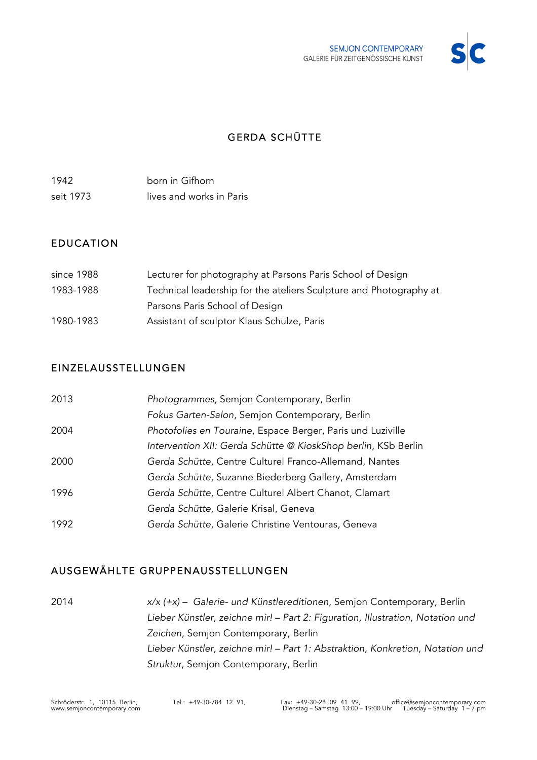

## GERDA SCHÜTTE

| 1942      | born in Gifhorn          |
|-----------|--------------------------|
| seit 1973 | lives and works in Paris |

## EDUCATION

| since 1988 | Lecturer for photography at Parsons Paris School of Design         |
|------------|--------------------------------------------------------------------|
| 1983-1988  | Technical leadership for the ateliers Sculpture and Photography at |
|            | Parsons Paris School of Design                                     |
| 1980-1983  | Assistant of sculptor Klaus Schulze, Paris                         |

## EINZELAUSSTELLUNGEN

| 2013 | Photogrammes, Semjon Contemporary, Berlin                      |
|------|----------------------------------------------------------------|
|      | Fokus Garten-Salon, Semjon Contemporary, Berlin                |
| 2004 | Photofolies en Touraine, Espace Berger, Paris und Luziville    |
|      | Intervention XII: Gerda Schütte @ KioskShop berlin, KSb Berlin |
| 2000 | Gerda Schütte, Centre Culturel Franco-Allemand, Nantes         |
|      | Gerda Schütte, Suzanne Biederberg Gallery, Amsterdam           |
| 1996 | Gerda Schütte, Centre Culturel Albert Chanot, Clamart          |
|      | Gerda Schütte, Galerie Krisal, Geneva                          |
| 1992 | Gerda Schütte, Galerie Christine Ventouras, Geneva             |

## AUSGEWÄHLTE GRUPPENAUSSTELLUNGEN

2014 *x/x (+x) – Galerie- und Künstlereditionen*, Semjon Contemporary, Berlin *Lieber Künstler, zeichne mir! – Part 2: Figuration, Illustration, Notation und Zeichen*, Semjon Contemporary, Berlin *Lieber Künstler, zeichne mir! – Part 1: Abstraktion, Konkretion, Notation und Struktur*, Semjon Contemporary, Berlin